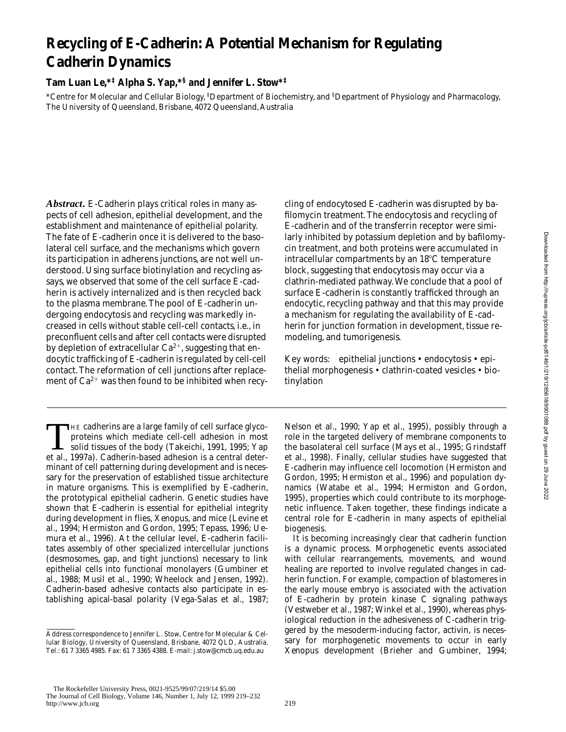# **Recycling of E-Cadherin: A Potential Mechanism for Regulating Cadherin Dynamics**

**Tam Luan Le,\*‡ Alpha S. Yap,\*§ and Jennifer L. Stow\*‡**

\*Centre for Molecular and Cellular Biology, ‡ Department of Biochemistry, and § Department of Physiology and Pharmacology, The University of Queensland, Brisbane, 4072 Queensland, Australia

*Abstract.* E-Cadherin plays critical roles in many aspects of cell adhesion, epithelial development, and the establishment and maintenance of epithelial polarity. The fate of E-cadherin once it is delivered to the basolateral cell surface, and the mechanisms which govern its participation in adherens junctions, are not well understood. Using surface biotinylation and recycling assays, we observed that some of the cell surface E-cadherin is actively internalized and is then recycled back to the plasma membrane. The pool of E-cadherin undergoing endocytosis and recycling was markedly increased in cells without stable cell-cell contacts, i.e., in preconfluent cells and after cell contacts were disrupted by depletion of extracellular  $Ca^{2+}$ , suggesting that endocytic trafficking of E-cadherin is regulated by cell-cell contact. The reformation of cell junctions after replacement of  $Ca^{2+}$  was then found to be inhibited when recy-

THE cadherins are a large family of cell surface glyco-<br>proteins which mediate cell-cell adhesion in most<br>solid tissues of the body (Takeichi, 1991, 1995; Yap<br>et al. 1997a). Cadherin-based adhesion is a central deterproteins which mediate cell-cell adhesion in most et al., 1997a). Cadherin-based adhesion is a central determinant of cell patterning during development and is necessary for the preservation of established tissue architecture in mature organisms. This is exemplified by E-cadherin, the prototypical epithelial cadherin. Genetic studies have shown that E-cadherin is essential for epithelial integrity during development in flies, *Xenopus*, and mice (Levine et al., 1994; Hermiston and Gordon, 1995; Tepass, 1996; Uemura et al., 1996). At the cellular level, E-cadherin facilitates assembly of other specialized intercellular junctions (desmosomes, gap, and tight junctions) necessary to link epithelial cells into functional monolayers (Gumbiner et al., 1988; Musil et al., 1990; Wheelock and Jensen, 1992). Cadherin-based adhesive contacts also participate in establishing apical-basal polarity (Vega-Salas et al., 1987;

cling of endocytosed E-cadherin was disrupted by bafilomycin treatment. The endocytosis and recycling of E-cadherin and of the transferrin receptor were similarly inhibited by potassium depletion and by bafilomycin treatment, and both proteins were accumulated in intracellular compartments by an  $18^{\circ}$ C temperature block, suggesting that endocytosis may occur via a clathrin-mediated pathway. We conclude that a pool of surface E-cadherin is constantly trafficked through an endocytic, recycling pathway and that this may provide a mechanism for regulating the availability of E-cadherin for junction formation in development, tissue remodeling, and tumorigenesis.

Key words: epithelial junctions • endocytosis • epithelial morphogenesis • clathrin-coated vesicles • biotinylation

Nelson et al., 1990; Yap et al., 1995), possibly through a role in the targeted delivery of membrane components to the basolateral cell surface (Mays et al., 1995; Grindstaff et al., 1998). Finally, cellular studies have suggested that E-cadherin may influence cell locomotion (Hermiston and Gordon, 1995; Hermiston et al., 1996) and population dynamics (Watabe et al., 1994; Hermiston and Gordon, 1995), properties which could contribute to its morphogenetic influence. Taken together, these findings indicate a central role for E-cadherin in many aspects of epithelial biogenesis.

It is becoming increasingly clear that cadherin function is a dynamic process. Morphogenetic events associated with cellular rearrangements, movements, and wound healing are reported to involve regulated changes in cadherin function. For example, compaction of blastomeres in the early mouse embryo is associated with the activation of E-cadherin by protein kinase C signaling pathways (Vestweber et al., 1987; Winkel et al., 1990), whereas physiological reduction in the adhesiveness of C-cadherin triggered by the mesoderm-inducing factor, activin, is necessary for morphogenetic movements to occur in early *Xenopus* development (Brieher and Gumbiner, 1994;

Address correspondence to Jennifer L. Stow, Centre for Molecular & Cellular Biology, University of Queensland, Brisbane, 4072 QLD, Australia. Tel.: 61 7 3365 4985. Fax: 61 7 3365 4388. E-mail: j.stow@cmcb.uq.edu.au

The Rockefeller University Press, 0021-9525/99/07/219/14 \$5.00 The Journal of Cell Biology, Volume 146, Number 1, July 12, 1999 219–232 http://www.jcb.org 219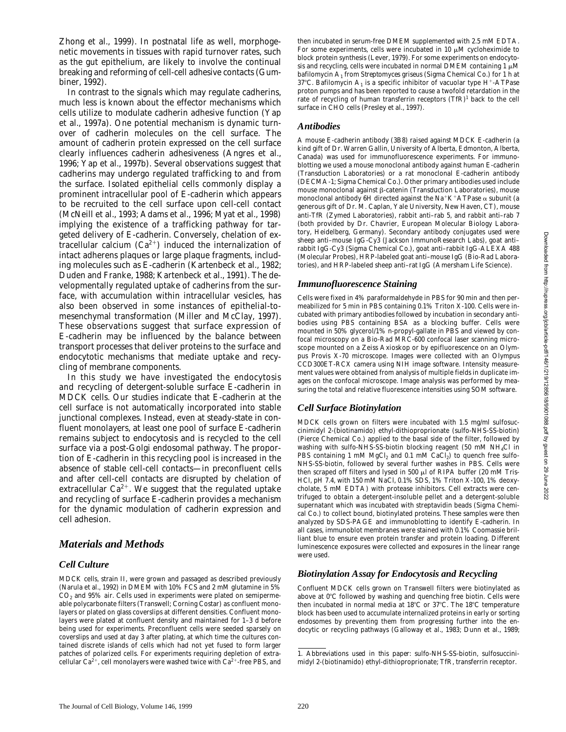Zhong et al., 1999). In postnatal life as well, morphogenetic movements in tissues with rapid turnover rates, such as the gut epithelium, are likely to involve the continual breaking and reforming of cell-cell adhesive contacts (Gumbiner, 1992).

In contrast to the signals which may regulate cadherins, much less is known about the effector mechanisms which cells utilize to modulate cadherin adhesive function (Yap et al., 1997a). One potential mechanism is dynamic turnover of cadherin molecules on the cell surface. The amount of cadherin protein expressed on the cell surface clearly influences cadherin adhesiveness (Angres et al., 1996; Yap et al., 1997b). Several observations suggest that cadherins may undergo regulated trafficking to and from the surface. Isolated epithelial cells commonly display a prominent intracellular pool of E-cadherin which appears to be recruited to the cell surface upon cell-cell contact (McNeill et al., 1993; Adams et al., 1996; Myat et al., 1998) implying the existence of a trafficking pathway for targeted delivery of E-cadherin. Conversely, chelation of extracellular calcium  $(Ca^{2+})$  induced the internalization of intact adherens plaques or large plaque fragments, including molecules such as E-cadherin (Kartenbeck et al., 1982; Duden and Franke, 1988; Kartenbeck et al., 1991). The developmentally regulated uptake of cadherins from the surface, with accumulation within intracellular vesicles, has also been observed in some instances of epithelial-tomesenchymal transformation (Miller and McClay, 1997). These observations suggest that surface expression of E-cadherin may be influenced by the balance between transport processes that deliver proteins to the surface and endocytotic mechanisms that mediate uptake and recycling of membrane components.

In this study we have investigated the endocytosis and recycling of detergent-soluble surface E-cadherin in MDCK cells. Our studies indicate that E-cadherin at the cell surface is not automatically incorporated into stable junctional complexes. Instead, even at steady-state in confluent monolayers, at least one pool of surface E-cadherin remains subject to endocytosis and is recycled to the cell surface via a post-Golgi endosomal pathway. The proportion of E-cadherin in this recycling pool is increased in the absence of stable cell-cell contacts—in preconfluent cells and after cell-cell contacts are disrupted by chelation of extracellular  $Ca^{2+}$ . We suggest that the regulated uptake and recycling of surface E-cadherin provides a mechanism for the dynamic modulation of cadherin expression and cell adhesion.

## *Materials and Methods*

### *Cell Culture*

MDCK cells, strain II, were grown and passaged as described previously (Narula et al., 1992) in DMEM with 10% FCS and 2 mM glutamine in 5%  $CO<sub>2</sub>$  and 95% air. Cells used in experiments were plated on semipermeable polycarbonate filters (Transwell; Corning Costar) as confluent monolayers or plated on glass coverslips at different densities. Confluent monolayers were plated at confluent density and maintained for 1–3 d before being used for experiments. Preconfluent cells were seeded sparsely on coverslips and used at day 3 after plating, at which time the cultures contained discrete islands of cells which had not yet fused to form larger patches of polarized cells. For experiments requiring depletion of extracellular  $Ca^{2+}$ , cell monolayers were washed twice with  $Ca^{2+}$ -free PBS, and

then incubated in serum-free DMEM supplemented with 2.5 mM EDTA. For some experiments, cells were incubated in 10  $\mu$ M cycloheximide to block protein synthesis (Lever, 1979). For some experiments on endocytosis and recycling, cells were incubated in normal DMEM containing  $1 \mu M$ bafilomycin A1 from *Streptomyces griseus* (Sigma Chemical Co.) for 1 h at 37°C. Bafilomycin  $A_1$  is a specific inhibitor of vacuolar type H<sup>+</sup>-ATPase proton pumps and has been reported to cause a twofold retardation in the rate of recycling of human transferrin receptors (TfR)<sup>1</sup> back to the cell surface in CHO cells (Presley et al., 1997).

#### *Antibodies*

A mouse E-cadherin antibody (3B8) raised against MDCK E-cadherin (a kind gift of Dr. Warren Gallin, University of Alberta, Edmonton, Alberta, Canada) was used for immunofluorescence experiments. For immunoblotting we used a mouse monoclonal antibody against human E-cadherin (Transduction Laboratories) or a rat monoclonal E-cadherin antibody (DECMA-1; Sigma Chemical Co.). Other primary antibodies used include mouse monoclonal against  $\beta$ -catenin (Transduction Laboratories), mouse monoclonal antibody 6H directed against the Na<sup>+</sup>K<sup>+</sup>ATPase  $\alpha$  subunit (a generous gift of Dr. M. Caplan, Yale University, New Haven, CT), mouse anti-TfR (Zymed Laboratories), rabbit anti–rab 5, and rabbit anti–rab 7 (both provided by Dr. Chavrier, European Molecular Biology Laboratory, Heidelberg, Germany). Secondary antibody conjugates used were sheep anti–mouse IgG-Cy3 (Jackson ImmunoResearch Labs), goat anti– rabbit IgG-Cy3 (Sigma Chemical Co.), goat anti–rabbit IgG-ALEXA 488 (Molecular Probes), HRP-labeled goat anti–mouse IgG (Bio-Rad Laboratories), and HRP-labeled sheep anti–rat IgG (Amersham Life Science).

#### *Immunofluorescence Staining*

Cells were fixed in 4% paraformaldehyde in PBS for 90 min and then permeabilized for 5 min in PBS containing 0.1% Triton X-100. Cells were incubated with primary antibodies followed by incubation in secondary antibodies using PBS containing BSA as a blocking buffer. Cells were mounted in 50% glycerol/1% *n*-propyl-gallate in PBS and viewed by confocal microscopy on a Bio-Rad MRC-600 confocal laser scanning microscope mounted on a Zeiss Axioskop or by epifluorescence on an Olympus Provis X-70 microscope. Images were collected with an Olympus CCD300ET-RCX camera using NIH image software. Intensity measurement values were obtained from analysis of multiple fields in duplicate images on the confocal microscope. Image analysis was performed by measuring the total and relative fluorescence intensities using SOM software.

### *Cell Surface Biotinylation*

MDCK cells grown on filters were incubated with 1.5 mg/ml sulfosuccinimidyl 2-(biotinamido) ethyl-dithioproprionate (sulfo-NHS-SS-biotin) (Pierce Chemical Co.) applied to the basal side of the filter, followed by washing with sulfo-NHS-SS-biotin blocking reagent (50 mM NH4Cl in PBS containing 1 mM  $MgCl<sub>2</sub>$  and 0.1 mM  $CaCl<sub>2</sub>$ ) to quench free sulfo-NHS-SS-biotin, followed by several further washes in PBS. Cells were then scraped off filters and lysed in 500  $\mu$ l of RIPA buffer (20 mM Tris-HCl, pH 7.4, with 150 mM NaCl, 0.1% SDS, 1% Triton X-100, 1% deoxycholate, 5 mM EDTA) with protease inhibitors. Cell extracts were centrifuged to obtain a detergent-insoluble pellet and a detergent-soluble supernatant which was incubated with streptavidin beads (Sigma Chemical Co.) to collect bound, biotinylated proteins. These samples were then analyzed by SDS-PAGE and immunoblotting to identify E-cadherin. In all cases, immunoblot membranes were stained with 0.1% Coomassie brilliant blue to ensure even protein transfer and protein loading. Different luminescence exposures were collected and exposures in the linear range were used.

### *Biotinylation Assay for Endocytosis and Recycling*

Confluent MDCK cells grown on Transwell filters were biotinylated as above at  $0^{\circ}$ C followed by washing and quenching free biotin. Cells were then incubated in normal media at  $18^{\circ}$ C or  $37^{\circ}$ C. The  $18^{\circ}$ C temperature block has been used to accumulate internalized proteins in early or sorting endosomes by preventing them from progressing further into the endocytic or recycling pathways (Galloway et al., 1983; Dunn et al., 1989;

<sup>1.</sup> *Abbreviations used in this paper:* sulfo-NHS-SS-biotin, sulfosuccinimidyl 2-(biotinamido) ethyl-dithioproprionate; TfR, transferrin receptor.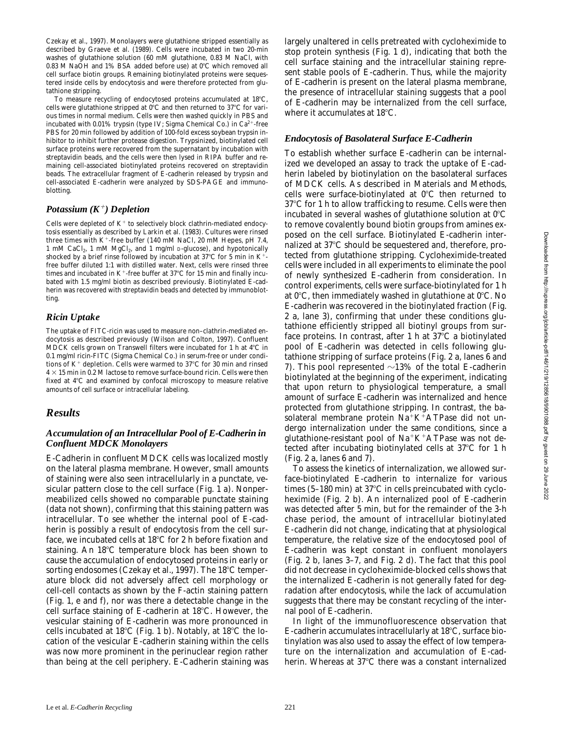Czekay et al., 1997). Monolayers were glutathione stripped essentially as described by Graeve et al. (1989). Cells were incubated in two 20-min washes of glutathione solution (60 mM glutathione, 0.83 M NaCl, with 0.83 M NaOH and 1% BSA added before use) at  $0^{\circ}$ C which removed all cell surface biotin groups. Remaining biotinylated proteins were sequestered inside cells by endocytosis and were therefore protected from glutathione stripping.

To measure recycling of endocytosed proteins accumulated at 18°C, cells were glutathione stripped at  $0^{\circ}$ C and then returned to 37 $^{\circ}$ C for various times in normal medium. Cells were then washed quickly in PBS and incubated with 0.01% trypsin (type IV; Sigma Chemical Co.) in  $Ca^{2+}$ -free PBS for 20 min followed by addition of 100-fold excess soybean trypsin inhibitor to inhibit further protease digestion. Trypsinized, biotinylated cell surface proteins were recovered from the supernatant by incubation with streptavidin beads, and the cells were then lysed in RIPA buffer and remaining cell-associated biotinylated proteins recovered on streptavidin beads. The extracellular fragment of E-cadherin released by trypsin and cell-associated E-cadherin were analyzed by SDS-PAGE and immunoblotting.

#### *Potassium (K*1*) Depletion*

Cells were depleted of  $K^+$  to selectively block clathrin-mediated endocytosis essentially as described by Larkin et al. (1983). Cultures were rinsed three times with  $K^+$ -free buffer (140 mM NaCl, 20 mM Hepes, pH 7.4, 1 mM CaCl<sub>2</sub>, 1 mM MgCl<sub>2</sub>, and 1 mg/ml D-glucose), and hypotonically shocked by a brief rinse followed by incubation at 37 $\degree$ C for 5 min in K<sup>+</sup>free buffer diluted 1:1 with distilled water. Next, cells were rinsed three times and incubated in  $K^+$ -free buffer at 37°C for 15 min and finally incubated with 1.5 mg/ml biotin as described previously. Biotinylated E-cadherin was recovered with streptavidin beads and detected by immunoblotting.

#### *Ricin Uptake*

The uptake of FITC-ricin was used to measure non–clathrin-mediated endocytosis as described previously (Wilson and Colton, 1997). Confluent MDCK cells grown on Transwell filters were incubated for 1 h at  $4^{\circ}$ C in 0.1 mg/ml ricin-FITC (Sigma Chemical Co.) in serum-free or under conditions of  $K^+$  depletion. Cells were warmed to 37°C for 30 min and rinsed  $4 \times 15$  min in 0.2 M lactose to remove surface-bound ricin. Cells were then fixed at 4°C and examined by confocal microscopy to measure relative amounts of cell surface or intracellular labeling.

## *Results*

#### *Accumulation of an Intracellular Pool of E-Cadherin in Confluent MDCK Monolayers*

E-Cadherin in confluent MDCK cells was localized mostly on the lateral plasma membrane. However, small amounts of staining were also seen intracellularly in a punctate, vesicular pattern close to the cell surface (Fig. 1 a). Nonpermeabilized cells showed no comparable punctate staining (data not shown), confirming that this staining pattern was intracellular. To see whether the internal pool of E-cadherin is possibly a result of endocytosis from the cell surface, we incubated cells at  $18^{\circ}$ C for 2 h before fixation and staining. An  $18^{\circ}$ C temperature block has been shown to cause the accumulation of endocytosed proteins in early or sorting endosomes (Czekay et al., 1997). The  $18^{\circ}$ C temperature block did not adversely affect cell morphology or cell-cell contacts as shown by the F-actin staining pattern (Fig. 1, e and f), nor was there a detectable change in the cell surface staining of E-cadherin at  $18^{\circ}$ C. However, the vesicular staining of E-cadherin was more pronounced in cells incubated at 18 $\rm ^{\circ}C$  (Fig. 1 b). Notably, at 18 $\rm ^{\circ}C$  the location of the vesicular E-cadherin staining within the cells was now more prominent in the perinuclear region rather than being at the cell periphery. E-Cadherin staining was largely unaltered in cells pretreated with cycloheximide to stop protein synthesis (Fig. 1 d), indicating that both the cell surface staining and the intracellular staining represent stable pools of E-cadherin. Thus, while the majority of E-cadherin is present on the lateral plasma membrane, the presence of intracellular staining suggests that a pool of E-cadherin may be internalized from the cell surface, where it accumulates at  $18^{\circ}$ C.

#### *Endocytosis of Basolateral Surface E-Cadherin*

To establish whether surface E-cadherin can be internalized we developed an assay to track the uptake of E-cadherin labeled by biotinylation on the basolateral surfaces of MDCK cells. As described in Materials and Methods, cells were surface-biotinylated at  $0^{\circ}$ C then returned to  $37^{\circ}$ C for 1 h to allow trafficking to resume. Cells were then incubated in several washes of glutathione solution at  $0^{\circ}$ C to remove covalently bound biotin groups from amines exposed on the cell surface. Biotinylated E-cadherin internalized at 37°C should be sequestered and, therefore, protected from glutathione stripping. Cycloheximide-treated cells were included in all experiments to eliminate the pool of newly synthesized E-cadherin from consideration. In control experiments, cells were surface-biotinylated for 1 h at  $0^{\circ}$ C, then immediately washed in glutathione at  $0^{\circ}$ C. No E-cadherin was recovered in the biotinylated fraction (Fig. 2 a, lane 3), confirming that under these conditions glutathione efficiently stripped all biotinyl groups from surface proteins. In contrast, after 1 h at  $37^{\circ}$ C a biotinylated pool of E-cadherin was detected in cells following glutathione stripping of surface proteins (Fig. 2 a, lanes 6 and 7). This pool represented  $\sim$ 13% of the total E-cadherin biotinylated at the beginning of the experiment, indicating that upon return to physiological temperature, a small amount of surface E-cadherin was internalized and hence protected from glutathione stripping. In contrast, the basolateral membrane protein  $Na^+K^+ATP$ ase did not undergo internalization under the same conditions, since a glutathione-resistant pool of  $Na^+K^+ATP$ ase was not detected after incubating biotinylated cells at  $37^{\circ}$ C for 1 h (Fig. 2 a, lanes 6 and 7).

To assess the kinetics of internalization, we allowed surface-biotinylated E-cadherin to internalize for various times  $(5-180 \text{ min})$  at  $37^{\circ}\text{C}$  in cells preincubated with cycloheximide (Fig. 2 b). An internalized pool of E-cadherin was detected after 5 min, but for the remainder of the 3-h chase period, the amount of intracellular biotinylated E-cadherin did not change, indicating that at physiological temperature, the relative size of the endocytosed pool of E-cadherin was kept constant in confluent monolayers (Fig. 2 b, lanes 3–7, and Fig. 2 d). The fact that this pool did not decrease in cycloheximide-blocked cells shows that the internalized E-cadherin is not generally fated for degradation after endocytosis, while the lack of accumulation suggests that there may be constant recycling of the internal pool of E-cadherin.

In light of the immunofluorescence observation that  $E$ -cadherin accumulates intracellularly at 18 $\degree$ C, surface biotinylation was also used to assay the effect of low temperature on the internalization and accumulation of E-cadherin. Whereas at  $37^{\circ}$ C there was a constant internalized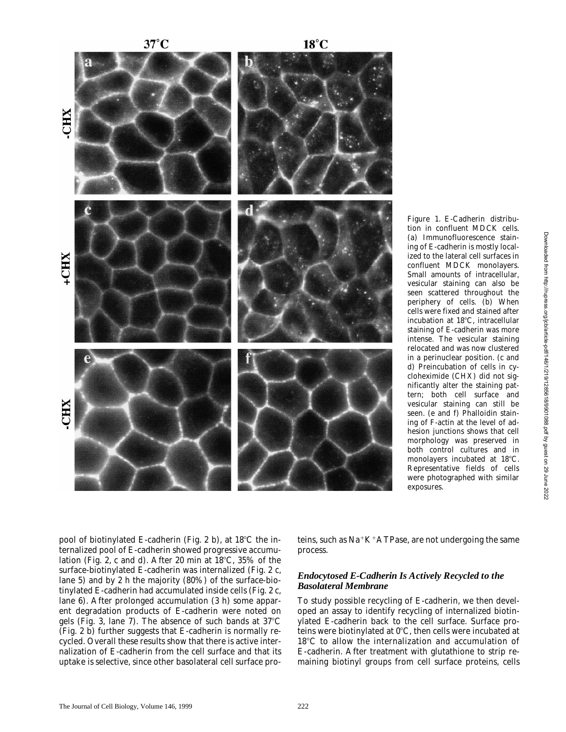$37^{\circ}$ C



(a) Immunofluorescence staining of E-cadherin is mostly localized to the lateral cell surfaces in confluent MDCK monolayers. Small amounts of intracellular, vesicular staining can also be seen scattered throughout the periphery of cells. (b) When cells were fixed and stained after incubation at 18°C, intracellular staining of E-cadherin was more intense. The vesicular staining relocated and was now clustered in a perinuclear position. (c and d) Preincubation of cells in cycloheximide (CHX) did not significantly alter the staining pattern; both cell surface and vesicular staining can still be seen. (e and f) Phalloidin staining of F-actin at the level of adhesion junctions shows that cell morphology was preserved in both control cultures and in monolayers incubated at 18°C. Representative fields of cells were photographed with similar exposures.

*Figure 1.* E-Cadherin distribution in confluent MDCK cells.

pool of biotinylated E-cadherin (Fig. 2 b), at  $18^{\circ}$ C the internalized pool of E-cadherin showed progressive accumulation (Fig. 2, c and d). After 20 min at  $18^{\circ}$ C, 35% of the surface-biotinylated E-cadherin was internalized (Fig. 2 c, lane 5) and by 2 h the majority (80%) of the surface-biotinylated E-cadherin had accumulated inside cells (Fig. 2 c, lane 6). After prolonged accumulation (3 h) some apparent degradation products of E-cadherin were noted on gels (Fig. 3, lane 7). The absence of such bands at  $37^{\circ}$ C (Fig. 2 b) further suggests that E-cadherin is normally recycled. Overall these results show that there is active internalization of E-cadherin from the cell surface and that its uptake is selective, since other basolateral cell surface pro-

teins, such as  $Na+K+ATP$ ase, are not undergoing the same process.

#### *Endocytosed E-Cadherin Is Actively Recycled to the Basolateral Membrane*

To study possible recycling of E-cadherin, we then developed an assay to identify recycling of internalized biotinylated E-cadherin back to the cell surface. Surface proteins were biotinylated at  $0^{\circ}$ C, then cells were incubated at 18°C to allow the internalization and accumulation of E-cadherin. After treatment with glutathione to strip remaining biotinyl groups from cell surface proteins, cells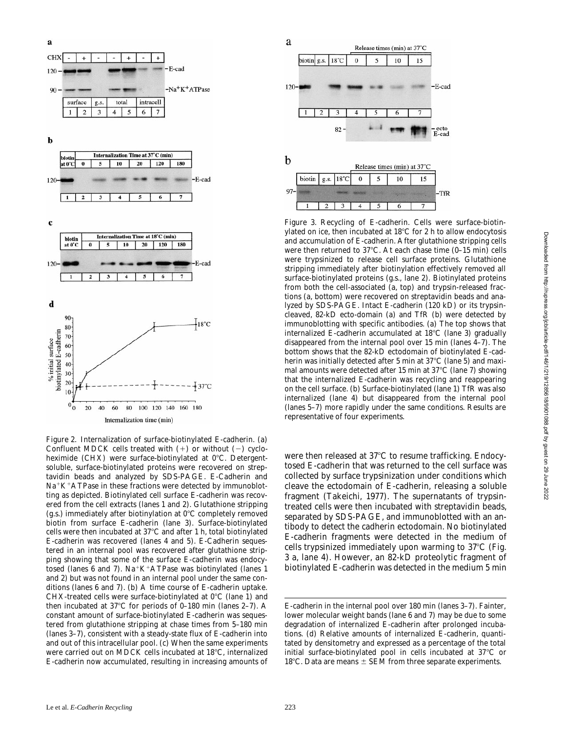

*Figure 2.* Internalization of surface-biotinylated E-cadherin. (a) Confluent MDCK cells treated with  $(+)$  or without  $(-)$  cycloheximide (CHX) were surface-biotinylated at  $0^{\circ}$ C. Detergentsoluble, surface-biotinylated proteins were recovered on streptavidin beads and analyzed by SDS-PAGE. E-Cadherin and  $Na+K+ATP$ ase in these fractions were detected by immunoblotting as depicted. Biotinylated cell surface E-cadherin was recovered from the cell extracts (lanes 1 and 2). Glutathione stripping (g.s.) immediately after biotinylation at  $0^{\circ}$ C completely removed biotin from surface E-cadherin (lane 3). Surface-biotinylated cells were then incubated at  $37^{\circ}$ C and after 1 h, total biotinylated E-cadherin was recovered (lanes 4 and 5). E-Cadherin sequestered in an internal pool was recovered after glutathione stripping showing that some of the surface E-cadherin was endocytosed (lanes 6 and 7). Na<sup>+</sup>K<sup>+</sup>ATPase was biotinylated (lanes 1 and 2) but was not found in an internal pool under the same conditions (lanes 6 and 7). (b) A time course of E-cadherin uptake. CHX-treated cells were surface-biotinylated at  $0^{\circ}$ C (lane 1) and then incubated at  $37^{\circ}$ C for periods of 0–180 min (lanes 2–7). A constant amount of surface-biotinylated E-cadherin was sequestered from glutathione stripping at chase times from 5–180 min (lanes 3–7), consistent with a steady-state flux of E-cadherin into and out of this intracellular pool. (c) When the same experiments were carried out on MDCK cells incubated at 18°C, internalized E-cadherin now accumulated, resulting in increasing amounts of



*Figure 3.* Recycling of E-cadherin. Cells were surface-biotinylated on ice, then incubated at  $18^{\circ}$ C for 2 h to allow endocytosis and accumulation of E-cadherin. After glutathione stripping cells were then returned to  $37^{\circ}$ C. At each chase time (0–15 min) cells were trypsinized to release cell surface proteins. Glutathione stripping immediately after biotinylation effectively removed all surface-biotinylated proteins (g.s., lane 2). Biotinylated proteins from both the cell-associated (a, top) and trypsin-released fractions (a, bottom) were recovered on streptavidin beads and analyzed by SDS-PAGE. Intact E-cadherin (120 kD) or its trypsincleaved, 82-kD ecto-domain (a) and TfR (b) were detected by immunoblotting with specific antibodies. (a) The top shows that internalized E-cadherin accumulated at  $18^{\circ}$ C (lane 3) gradually disappeared from the internal pool over 15 min (lanes 4–7). The bottom shows that the 82-kD ectodomain of biotinylated E-cadherin was initially detected after 5 min at  $37^{\circ}$ C (lane 5) and maximal amounts were detected after 15 min at  $37^{\circ}$ C (lane 7) showing that the internalized E-cadherin was recycling and reappearing on the cell surface. (b) Surface-biotinylated (lane 1) TfR was also internalized (lane 4) but disappeared from the internal pool (lanes 5–7) more rapidly under the same conditions. Results are representative of four experiments.

were then released at  $37^{\circ}$ C to resume trafficking. Endocytosed E-cadherin that was returned to the cell surface was collected by surface trypsinization under conditions which cleave the ectodomain of E-cadherin, releasing a soluble fragment (Takeichi, 1977). The supernatants of trypsintreated cells were then incubated with streptavidin beads, separated by SDS-PAGE, and immunoblotted with an antibody to detect the cadherin ectodomain. No biotinylated E-cadherin fragments were detected in the medium of cells trypsinized immediately upon warming to  $37^{\circ}C$  (Fig. 3 a, lane 4). However, an 82-kD proteolytic fragment of biotinylated E-cadherin was detected in the medium 5 min

E-cadherin in the internal pool over 180 min (lanes 3–7). Fainter, lower molecular weight bands (lane 6 and 7) may be due to some degradation of internalized E-cadherin after prolonged incubations. (d) Relative amounts of internalized E-cadherin, quantitated by densitometry and expressed as a percentage of the total initial surface-biotinylated pool in cells incubated at  $37^{\circ}$ C or 18°C. Data are means  $\pm$  SEM from three separate experiments.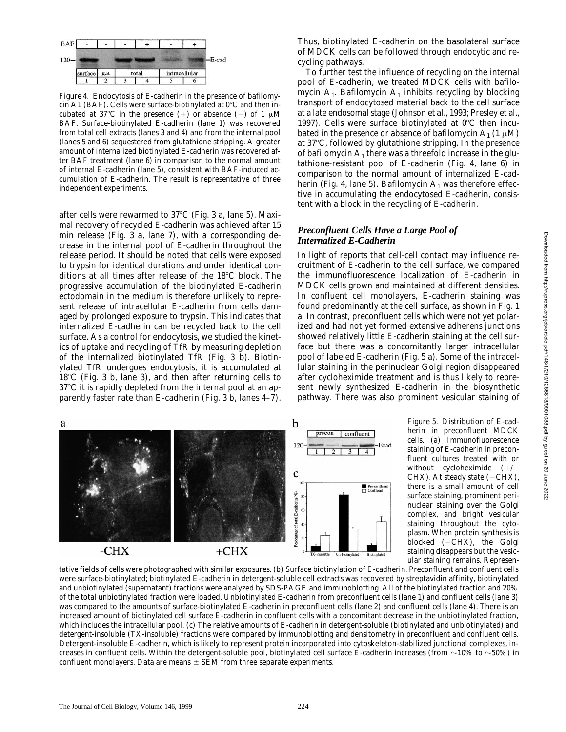

*Figure 4.* Endocytosis of E-cadherin in the presence of bafilomycin A1 (BAF). Cells were surface-biotinylated at  $0^{\circ}$ C and then incubated at 37°C in the presence (+) or absence (-) of 1  $\mu$ M BAF. Surface-biotinylated E-cadherin (lane 1) was recovered from total cell extracts (lanes 3 and 4) and from the internal pool (lanes 5 and 6) sequestered from glutathione stripping. A greater amount of internalized biotinylated E-cadherin was recovered after BAF treatment (lane 6) in comparison to the normal amount of internal E-cadherin (lane 5), consistent with BAF-induced accumulation of E-cadherin. The result is representative of three independent experiments.

after cells were rewarmed to  $37^{\circ}$ C (Fig. 3 a, lane 5). Maximal recovery of recycled E-cadherin was achieved after 15 min release (Fig. 3 a, lane 7), with a corresponding decrease in the internal pool of E-cadherin throughout the release period. It should be noted that cells were exposed to trypsin for identical durations and under identical conditions at all times after release of the 18°C block. The progressive accumulation of the biotinylated E-cadherin ectodomain in the medium is therefore unlikely to represent release of intracellular E-cadherin from cells damaged by prolonged exposure to trypsin. This indicates that internalized E-cadherin can be recycled back to the cell surface. As a control for endocytosis, we studied the kinetics of uptake and recycling of TfR by measuring depletion of the internalized biotinylated TfR (Fig. 3 b). Biotinylated TfR undergoes endocytosis, it is accumulated at  $18^{\circ}$ C (Fig. 3 b, lane 3), and then after returning cells to  $37^{\circ}$ C it is rapidly depleted from the internal pool at an apparently faster rate than E-cadherin (Fig. 3 b, lanes 4–7).

Thus, biotinylated E-cadherin on the basolateral surface of MDCK cells can be followed through endocytic and recycling pathways.

To further test the influence of recycling on the internal pool of E-cadherin, we treated MDCK cells with bafilomycin  $A_1$ . Bafilomycin  $A_1$  inhibits recycling by blocking transport of endocytosed material back to the cell surface at a late endosomal stage (Johnson et al., 1993; Presley et al., 1997). Cells were surface biotinylated at  $0^{\circ}$ C then incubated in the presence or absence of bafilomycin  $A_1$  (1  $\mu$ M) at  $37^{\circ}$ C, followed by glutathione stripping. In the presence of bafilomycin  $A_1$  there was a threefold increase in the glutathione-resistant pool of E-cadherin (Fig. 4, lane 6) in comparison to the normal amount of internalized E-cadherin (Fig. 4, lane 5). Bafilomycin  $A_1$  was therefore effective in accumulating the endocytosed E-cadherin, consistent with a block in the recycling of E-cadherin.

#### *Preconfluent Cells Have a Large Pool of Internalized E-Cadherin*

In light of reports that cell-cell contact may influence recruitment of E-cadherin to the cell surface, we compared the immunofluorescence localization of E-cadherin in MDCK cells grown and maintained at different densities. In confluent cell monolayers, E-cadherin staining was found predominantly at the cell surface, as shown in Fig. 1 a. In contrast, preconfluent cells which were not yet polarized and had not yet formed extensive adherens junctions showed relatively little E-cadherin staining at the cell surface but there was a concomitantly larger intracellular pool of labeled E-cadherin (Fig. 5 a). Some of the intracellular staining in the perinuclear Golgi region disappeared after cycloheximide treatment and is thus likely to represent newly synthesized E-cadherin in the biosynthetic pathway. There was also prominent vesicular staining of



*Figure 5.* Distribution of E-cadherin in preconfluent MDCK cells. (a) Immunofluorescence staining of E-cadherin in preconfluent cultures treated with or without cycloheximide  $(+/-$ CHX). At steady state  $(-CHX)$ , there is a small amount of cell surface staining, prominent perinuclear staining over the Golgi complex, and bright vesicular staining throughout the cytoplasm. When protein synthesis is blocked  $(+CHX)$ , the Golgi staining disappears but the vesicular staining remains. Represen-

tative fields of cells were photographed with similar exposures. (b) Surface biotinylation of E-cadherin. Preconfluent and confluent cells were surface-biotinylated; biotinylated E-cadherin in detergent-soluble cell extracts was recovered by streptavidin affinity, biotinylated and unbiotinylated (supernatant) fractions were analyzed by SDS-PAGE and immunoblotting. All of the biotinylated fraction and 20% of the total unbiotinylated fraction were loaded. Unbiotinylated E-cadherin from preconfluent cells (lane 1) and confluent cells (lane 3) was compared to the amounts of surface-biotinylated E-cadherin in preconfluent cells (lane 2) and confluent cells (lane 4). There is an increased amount of biotinylated cell surface E-cadherin in confluent cells with a concomitant decrease in the unbiotinylated fraction, which includes the intracellular pool. (c) The relative amounts of E-cadherin in detergent-soluble (biotinylated and unbiotinylated) and detergent-insoluble (TX-insoluble) fractions were compared by immunoblotting and densitometry in preconfluent and confluent cells. Detergent-insoluble E-cadherin, which is likely to represent protein incorporated into cytoskeleton-stabilized junctional complexes, increases in confluent cells. Within the detergent-soluble pool, biotinylated cell surface E-cadherin increases (from  $\sim$ 10% to  $\sim$ 50%) in confluent monolayers. Data are means  $\pm$  SEM from three separate experiments.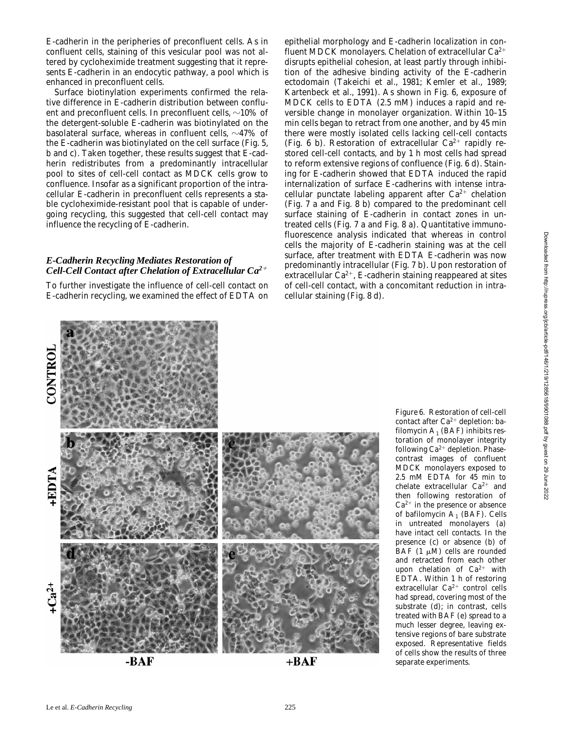E-cadherin in the peripheries of preconfluent cells. As in confluent cells, staining of this vesicular pool was not altered by cycloheximide treatment suggesting that it represents E-cadherin in an endocytic pathway, a pool which is enhanced in preconfluent cells.

Surface biotinylation experiments confirmed the relative difference in E-cadherin distribution between confluent and preconfluent cells. In preconfluent cells,  $\sim$ 10% of the detergent-soluble E-cadherin was biotinylated on the basolateral surface, whereas in confluent cells,  $\sim$ 47% of the E-cadherin was biotinylated on the cell surface (Fig. 5, b and c). Taken together, these results suggest that E-cadherin redistributes from a predominantly intracellular pool to sites of cell-cell contact as MDCK cells grow to confluence. Insofar as a significant proportion of the intracellular E-cadherin in preconfluent cells represents a stable cycloheximide-resistant pool that is capable of undergoing recycling, this suggested that cell-cell contact may influence the recycling of E-cadherin.

#### *E-Cadherin Recycling Mediates Restoration of Cell-Cell Contact after Chelation of Extracellular Ca2*<sup>1</sup>

To further investigate the influence of cell-cell contact on E-cadherin recycling, we examined the effect of EDTA on epithelial morphology and E-cadherin localization in confluent MDCK monolayers. Chelation of extracellular  $Ca^{2+}$ disrupts epithelial cohesion, at least partly through inhibition of the adhesive binding activity of the E-cadherin ectodomain (Takeichi et al., 1981; Kemler et al., 1989; Kartenbeck et al., 1991). As shown in Fig. 6, exposure of MDCK cells to EDTA (2.5 mM) induces a rapid and reversible change in monolayer organization. Within 10–15 min cells began to retract from one another, and by 45 min there were mostly isolated cells lacking cell-cell contacts (Fig. 6 b). Restoration of extracellular  $Ca^{2+}$  rapidly restored cell-cell contacts, and by 1 h most cells had spread to reform extensive regions of confluence (Fig. 6 d). Staining for E-cadherin showed that EDTA induced the rapid internalization of surface E-cadherins with intense intracellular punctate labeling apparent after  $Ca^{2+}$  chelation (Fig. 7 a and Fig. 8 b) compared to the predominant cell surface staining of E-cadherin in contact zones in untreated cells (Fig. 7 a and Fig. 8 a). Quantitative immunofluorescence analysis indicated that whereas in control cells the majority of E-cadherin staining was at the cell surface, after treatment with EDTA E-cadherin was now predominantly intracellular (Fig. 7 b). Upon restoration of extracellular  $Ca^{2+}$ , E-cadherin staining reappeared at sites of cell-cell contact, with a concomitant reduction in intracellular staining (Fig. 8 d).



-BAF

+BAF

*Figure 6.* Restoration of cell-cell contact after  $Ca^{2+}$  depletion: bafilomycin  $A_1$  (BAF) inhibits restoration of monolayer integrity following  $Ca^{2+}$  depletion. Phasecontrast images of confluent MDCK monolayers exposed to 2.5 mM EDTA for 45 min to chelate extracellular  $Ca^{2+}$  and then following restoration of  $Ca<sup>2+</sup>$  in the presence or absence of bafilomycin  $A_1$  (BAF). Cells in untreated monolayers (a) have intact cell contacts. In the presence (c) or absence (b) of BAF (1  $\mu$ M) cells are rounded and retracted from each other upon chelation of  $Ca^{2+}$  with EDTA. Within 1 h of restoring extracellular  $Ca^{2+}$  control cells had spread, covering most of the substrate (d); in contrast, cells treated with BAF (e) spread to a much lesser degree, leaving extensive regions of bare substrate exposed. Representative fields of cells show the results of three separate experiments.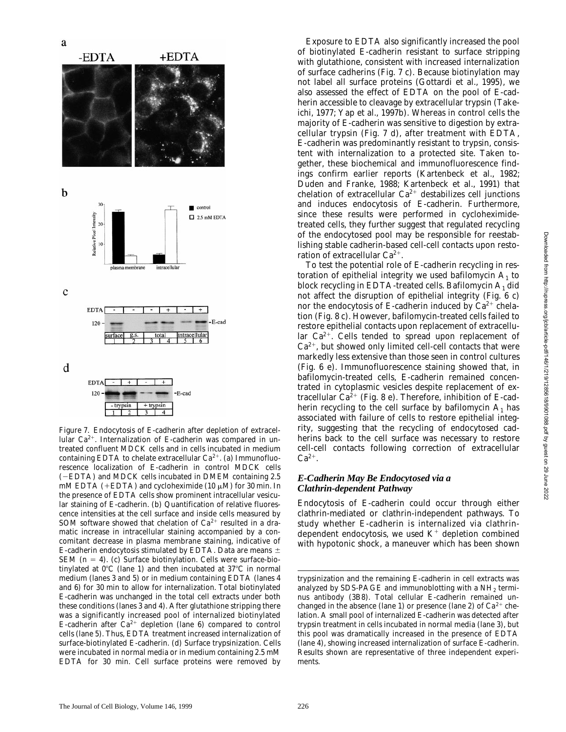

*Figure 7.* Endocytosis of E-cadherin after depletion of extracellular  $Ca^{2+}$ . Internalization of E-cadherin was compared in untreated confluent MDCK cells and in cells incubated in medium containing EDTA to chelate extracellular  $Ca^{2+}$ . (a) Immunofluorescence localization of E-cadherin in control MDCK cells (2EDTA) and MDCK cells incubated in DMEM containing 2.5 mM EDTA (+EDTA) and cycloheximide (10  $\mu$ M) for 30 min. In the presence of EDTA cells show prominent intracellular vesicular staining of E-cadherin. (b) Quantification of relative fluorescence intensities at the cell surface and inside cells measured by SOM software showed that chelation of  $Ca^{2+}$  resulted in a dramatic increase in intracellular staining accompanied by a concomitant decrease in plasma membrane staining, indicative of E-cadherin endocytosis stimulated by EDTA. Data are means  $\pm$ SEM  $(n = 4)$ . (c) Surface biotinylation. Cells were surface-biotinylated at  $0^{\circ}$ C (lane 1) and then incubated at  $37^{\circ}$ C in normal medium (lanes 3 and 5) or in medium containing EDTA (lanes 4 and 6) for 30 min to allow for internalization. Total biotinylated E-cadherin was unchanged in the total cell extracts under both these conditions (lanes 3 and 4). After glutathione stripping there was a significantly increased pool of internalized biotinylated E-cadherin after  $Ca^{2+}$  depletion (lane 6) compared to control cells (lane 5). Thus, EDTA treatment increased internalization of surface-biotinylated E-cadherin. (d) Surface trypsinization. Cells were incubated in normal media or in medium containing 2.5 mM EDTA for 30 min. Cell surface proteins were removed by

Exposure to EDTA also significantly increased the pool of biotinylated E-cadherin resistant to surface stripping with glutathione, consistent with increased internalization of surface cadherins (Fig. 7 c). Because biotinylation may not label all surface proteins (Gottardi et al., 1995), we also assessed the effect of EDTA on the pool of E-cadherin accessible to cleavage by extracellular trypsin (Takeichi, 1977; Yap et al., 1997b). Whereas in control cells the majority of E-cadherin was sensitive to digestion by extracellular trypsin (Fig. 7 d), after treatment with EDTA, E-cadherin was predominantly resistant to trypsin, consistent with internalization to a protected site. Taken together, these biochemical and immunofluorescence findings confirm earlier reports (Kartenbeck et al., 1982; Duden and Franke, 1988; Kartenbeck et al., 1991) that chelation of extracellular  $Ca^{2+}$  destabilizes cell junctions and induces endocytosis of E-cadherin. Furthermore, since these results were performed in cycloheximidetreated cells, they further suggest that regulated recycling of the endocytosed pool may be responsible for reestablishing stable cadherin-based cell-cell contacts upon restoration of extracellular  $Ca^{2+}$ .

To test the potential role of E-cadherin recycling in restoration of epithelial integrity we used bafilomycin  $A_1$  to block recycling in EDTA-treated cells. Bafilomycin  $A_1$  did not affect the disruption of epithelial integrity (Fig. 6 c) nor the endocytosis of E-cadherin induced by  $Ca^{2+}$  chelation (Fig. 8 c). However, bafilomycin-treated cells failed to restore epithelial contacts upon replacement of extracellular  $Ca^{2+}$ . Cells tended to spread upon replacement of  $Ca<sup>2+</sup>$ , but showed only limited cell-cell contacts that were markedly less extensive than those seen in control cultures (Fig. 6 e). Immunofluorescence staining showed that, in bafilomycin-treated cells, E-cadherin remained concentrated in cytoplasmic vesicles despite replacement of extracellular  $Ca^{2+}$  (Fig. 8 e). Therefore, inhibition of E-cadherin recycling to the cell surface by bafilomycin  $A_1$  has associated with failure of cells to restore epithelial integrity, suggesting that the recycling of endocytosed cadherins back to the cell surface was necessary to restore cell-cell contacts following correction of extracellular  $Ca^{2+}$ .

#### *E-Cadherin May Be Endocytosed via a Clathrin-dependent Pathway*

Endocytosis of E-cadherin could occur through either clathrin-mediated or clathrin-independent pathways. To study whether E-cadherin is internalized via clathrindependent endocytosis, we used  $K^+$  depletion combined with hypotonic shock, a maneuver which has been shown

trypsinization and the remaining E-cadherin in cell extracts was analyzed by SDS-PAGE and immunoblotting with a  $NH<sub>2</sub>$  terminus antibody (3B8). Total cellular E-cadherin remained unchanged in the absence (lane 1) or presence (lane 2) of  $Ca^{2+}$  chelation. A small pool of internalized E-cadherin was detected after trypsin treatment in cells incubated in normal media (lane 3), but this pool was dramatically increased in the presence of EDTA (lane 4), showing increased internalization of surface E-cadherin. Results shown are representative of three independent experiments.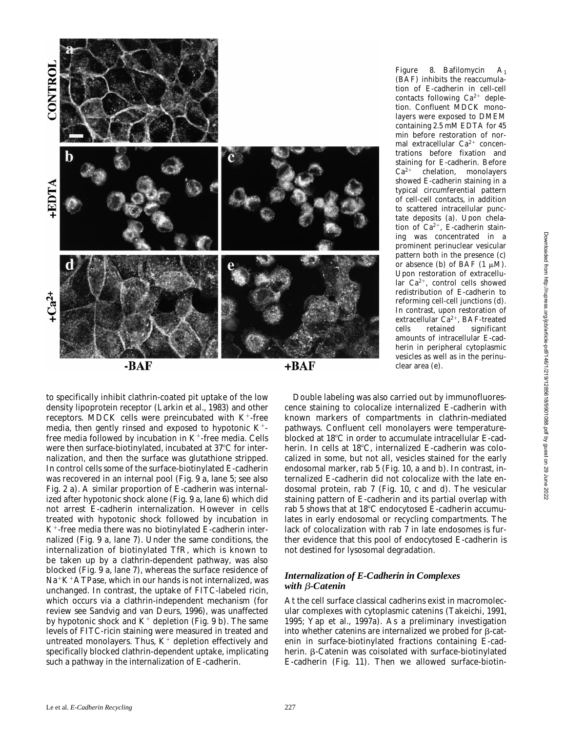

to specifically inhibit clathrin-coated pit uptake of the low density lipoprotein receptor (Larkin et al., 1983) and other receptors. MDCK cells were preincubated with  $K^+$ -free media, then gently rinsed and exposed to hypotonic  $K^+$ free media followed by incubation in  $K^+$ -free media. Cells were then surface-biotinylated, incubated at 37°C for internalization, and then the surface was glutathione stripped. In control cells some of the surface-biotinylated E-cadherin was recovered in an internal pool (Fig. 9 a, lane 5; see also Fig. 2 a). A similar proportion of E-cadherin was internalized after hypotonic shock alone (Fig. 9 a, lane 6) which did not arrest E-cadherin internalization. However in cells treated with hypotonic shock followed by incubation in  $K^+$ -free media there was no biotinylated E-cadherin internalized (Fig. 9 a, lane 7). Under the same conditions, the internalization of biotinylated TfR, which is known to be taken up by a clathrin-dependent pathway, was also blocked (Fig. 9 a, lane 7), whereas the surface residence of  $Na+K+ATP$ ase, which in our hands is not internalized, was unchanged. In contrast, the uptake of FITC-labeled ricin, which occurs via a clathrin-independent mechanism (for review see Sandvig and van Deurs, 1996), was unaffected by hypotonic shock and  $K^+$  depletion (Fig. 9 b). The same levels of FITC-ricin staining were measured in treated and untreated monolayers. Thus,  $K^+$  depletion effectively and specifically blocked clathrin-dependent uptake, implicating such a pathway in the internalization of E-cadherin.

*Figure 8.* Bafilomycin A<sub>1</sub> (BAF) inhibits the reaccumulation of E-cadherin in cell-cell contacts following  $Ca^{2+}$  depletion. Confluent MDCK monolayers were exposed to DMEM containing 2.5 mM EDTA for 45 min before restoration of normal extracellular  $Ca^{2+}$  concentrations before fixation and staining for E-cadherin. Before<br> $Ca^{2+}$  chelation. monolayers chelation, monolayers showed E-cadherin staining in a typical circumferential pattern of cell-cell contacts, in addition to scattered intracellular punctate deposits (a). Upon chelation of  $Ca^{2+}$ , E-cadherin staining was concentrated in a prominent perinuclear vesicular pattern both in the presence (c) or absence (b) of BAF (1  $\mu$ M). Upon restoration of extracellular  $Ca^{2+}$ , control cells showed redistribution of E-cadherin to reforming cell-cell junctions (d). In contrast, upon restoration of extracellular  $\hat{C}a^{2+}$ , BAF-treated<br>cells retained significant cells retained significant amounts of intracellular E-cadherin in peripheral cytoplasmic vesicles as well as in the perinuclear area (e).

Double labeling was also carried out by immunofluorescence staining to colocalize internalized E-cadherin with known markers of compartments in clathrin-mediated pathways. Confluent cell monolayers were temperatureblocked at 18°C in order to accumulate intracellular E-cadherin. In cells at 18°C, internalized E-cadherin was colocalized in some, but not all, vesicles stained for the early endosomal marker, rab 5 (Fig. 10, a and b). In contrast, internalized E-cadherin did not colocalize with the late endosomal protein, rab 7 (Fig. 10, c and d). The vesicular staining pattern of E-cadherin and its partial overlap with rab 5 shows that at  $18^{\circ}$ C endocytosed E-cadherin accumulates in early endosomal or recycling compartments. The lack of colocalization with rab 7 in late endosomes is further evidence that this pool of endocytosed E-cadherin is not destined for lysosomal degradation.

### *Internalization of E-Cadherin in Complexes with* b*-Catenin*

At the cell surface classical cadherins exist in macromolecular complexes with cytoplasmic catenins (Takeichi, 1991, 1995; Yap et al., 1997a). As a preliminary investigation into whether catenins are internalized we probed for  $\beta$ -catenin in surface-biotinylated fractions containing E-cadherin.  $\beta$ -Catenin was coisolated with surface-biotinylated E-cadherin (Fig. 11). Then we allowed surface-biotin-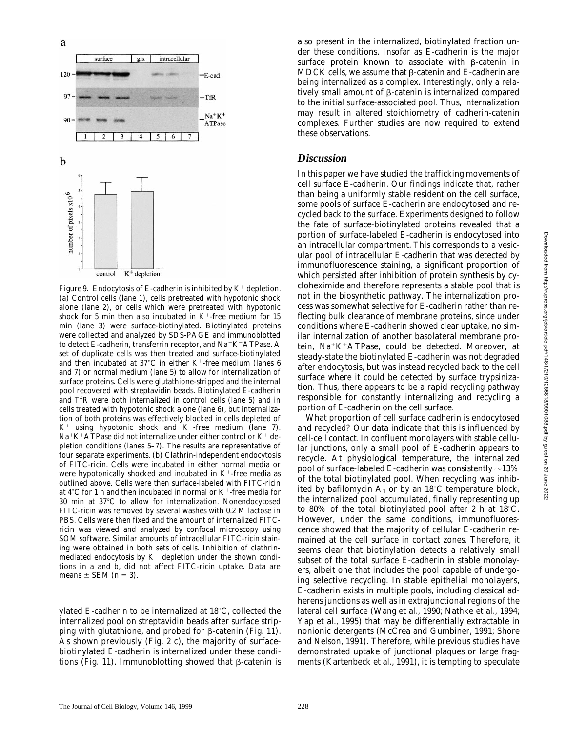

*Figure 9.* Endocytosis of E-cadherin is inhibited by  $K^+$  depletion. (a) Control cells (lane 1), cells pretreated with hypotonic shock alone (lane 2), or cells which were pretreated with hypotonic shock for 5 min then also incubated in  $K^+$ -free medium for 15 min (lane 3) were surface-biotinylated. Biotinylated proteins were collected and analyzed by SDS-PAGE and immunoblotted to detect E-cadherin, transferrin receptor, and  $Na^+K^+ATP$ ase. A set of duplicate cells was then treated and surface-biotinylated and then incubated at  $37^{\circ}$ C in either K<sup>+</sup>-free medium (lanes 6 and 7) or normal medium (lane 5) to allow for internalization of surface proteins. Cells were glutathione-stripped and the internal pool recovered with streptavidin beads. Biotinylated E-cadherin and TfR were both internalized in control cells (lane 5) and in cells treated with hypotonic shock alone (lane 6), but internalization of both proteins was effectively blocked in cells depleted of  $K^+$  using hypotonic shock and  $K^+$ -free medium (lane 7). Na<sup>+</sup>K<sup>+</sup>ATPase did not internalize under either control or K<sup>+</sup> depletion conditions (lanes 5–7). The results are representative of four separate experiments. (b) Clathrin-independent endocytosis of FITC-ricin. Cells were incubated in either normal media or were hypotonically shocked and incubated in  $K^+$ -free media as outlined above. Cells were then surface-labeled with FITC-ricin at  $4^{\circ}$ C for 1 h and then incubated in normal or K<sup>+</sup>-free media for  $30$  min at  $37^{\circ}$ C to allow for internalization. Nonendocytosed FITC-ricin was removed by several washes with 0.2 M lactose in PBS. Cells were then fixed and the amount of internalized FITCricin was viewed and analyzed by confocal microscopy using SOM software. Similar amounts of intracellular FITC-ricin staining were obtained in both sets of cells. Inhibition of clathrinmediated endocytosis by  $K^+$  depletion under the shown conditions in a and b, did not affect FITC-ricin uptake. Data are means  $\pm$  SEM ( $n = 3$ ).

ylated E-cadherin to be internalized at  $18^{\circ}$ C, collected the internalized pool on streptavidin beads after surface stripping with glutathione, and probed for  $\beta$ -catenin (Fig. 11). As shown previously (Fig. 2 c), the majority of surfacebiotinylated E-cadherin is internalized under these conditions (Fig. 11). Immunoblotting showed that  $\beta$ -catenin is also present in the internalized, biotinylated fraction under these conditions. Insofar as E-cadherin is the major surface protein known to associate with  $\beta$ -catenin in MDCK cells, we assume that  $\beta$ -catenin and E-cadherin are being internalized as a complex. Interestingly, only a relatively small amount of  $\beta$ -catenin is internalized compared to the initial surface-associated pool. Thus, internalization may result in altered stoichiometry of cadherin-catenin complexes. Further studies are now required to extend these observations.

#### *Discussion*

In this paper we have studied the trafficking movements of cell surface E-cadherin. Our findings indicate that, rather than being a uniformly stable resident on the cell surface, some pools of surface E-cadherin are endocytosed and recycled back to the surface. Experiments designed to follow the fate of surface-biotinylated proteins revealed that a portion of surface-labeled E-cadherin is endocytosed into an intracellular compartment. This corresponds to a vesicular pool of intracellular E-cadherin that was detected by immunofluorescence staining, a significant proportion of which persisted after inhibition of protein synthesis by cycloheximide and therefore represents a stable pool that is not in the biosynthetic pathway. The internalization process was somewhat selective for E-cadherin rather than reflecting bulk clearance of membrane proteins, since under conditions where E-cadherin showed clear uptake, no similar internalization of another basolateral membrane protein,  $Na^{+}K^{+}ATP$ ase, could be detected. Moreover, at steady-state the biotinylated E-cadherin was not degraded after endocytosis, but was instead recycled back to the cell surface where it could be detected by surface trypsinization. Thus, there appears to be a rapid recycling pathway responsible for constantly internalizing and recycling a portion of E-cadherin on the cell surface.

What proportion of cell surface cadherin is endocytosed and recycled? Our data indicate that this is influenced by cell-cell contact. In confluent monolayers with stable cellular junctions, only a small pool of E-cadherin appears to recycle. At physiological temperature, the internalized pool of surface-labeled E-cadherin was consistently  ${\sim}13\%$ of the total biotinylated pool. When recycling was inhibited by bafilomycin  $A_1$  or by an 18<sup>o</sup>C temperature block, the internalized pool accumulated, finally representing up to 80% of the total biotinylated pool after 2 h at  $18^{\circ}$ C. However, under the same conditions, immunofluorescence showed that the majority of cellular E-cadherin remained at the cell surface in contact zones. Therefore, it seems clear that biotinylation detects a relatively small subset of the total surface E-cadherin in stable monolayers, albeit one that includes the pool capable of undergoing selective recycling. In stable epithelial monolayers, E-cadherin exists in multiple pools, including classical adherens junctions as well as in extrajunctional regions of the lateral cell surface (Wang et al., 1990; Nathke et al., 1994; Yap et al., 1995) that may be differentially extractable in nonionic detergents (McCrea and Gumbiner, 1991; Shore and Nelson, 1991). Therefore, while previous studies have demonstrated uptake of junctional plaques or large fragments (Kartenbeck et al., 1991), it is tempting to speculate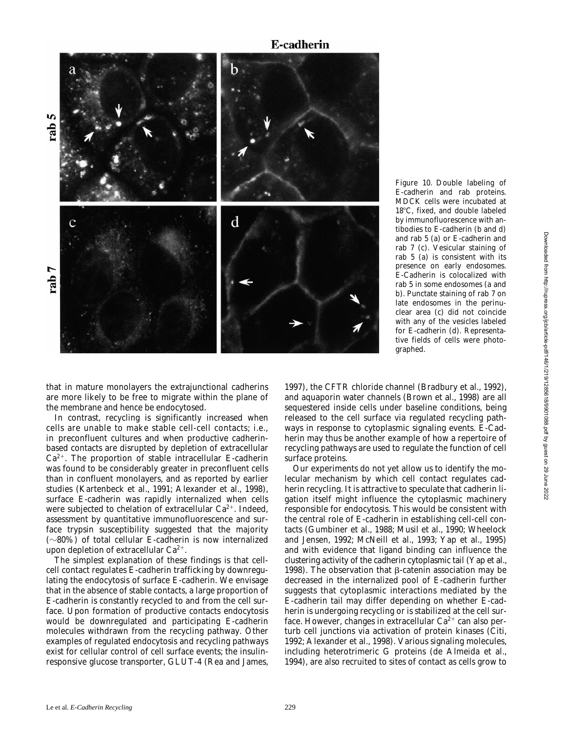## **E-cadherin**



*Figure 10.* Double labeling of E-cadherin and rab proteins. MDCK cells were incubated at 18°C, fixed, and double labeled by immunofluorescence with antibodies to E-cadherin (b and d) and rab 5 (a) or E-cadherin and rab 7 (c). Vesicular staining of rab 5 (a) is consistent with its presence on early endosomes. E-Cadherin is colocalized with rab 5 in some endosomes (a and b). Punctate staining of rab 7 on late endosomes in the perinuclear area (c) did not coincide with any of the vesicles labeled for E-cadherin (d). Representative fields of cells were photographed.

that in mature monolayers the extrajunctional cadherins are more likely to be free to migrate within the plane of the membrane and hence be endocytosed.

In contrast, recycling is significantly increased when cells are unable to make stable cell-cell contacts; i.e., in preconfluent cultures and when productive cadherinbased contacts are disrupted by depletion of extracellular  $Ca^{2+}$ . The proportion of stable intracellular E-cadherin was found to be considerably greater in preconfluent cells than in confluent monolayers, and as reported by earlier studies (Kartenbeck et al., 1991; Alexander et al., 1998), surface E-cadherin was rapidly internalized when cells were subjected to chelation of extracellular  $Ca^{2+}$ . Indeed, assessment by quantitative immunofluorescence and surface trypsin susceptibility suggested that the majority  $(\sim 80\%)$  of total cellular E-cadherin is now internalized upon depletion of extracellular  $Ca^{2+}$ .

The simplest explanation of these findings is that cellcell contact regulates E-cadherin trafficking by downregulating the endocytosis of surface E-cadherin. We envisage that in the absence of stable contacts, a large proportion of E-cadherin is constantly recycled to and from the cell surface. Upon formation of productive contacts endocytosis would be downregulated and participating E-cadherin molecules withdrawn from the recycling pathway. Other examples of regulated endocytosis and recycling pathways exist for cellular control of cell surface events; the insulinresponsive glucose transporter, GLUT-4 (Rea and James, 1997), the CFTR chloride channel (Bradbury et al., 1992), and aquaporin water channels (Brown et al., 1998) are all sequestered inside cells under baseline conditions, being released to the cell surface via regulated recycling pathways in response to cytoplasmic signaling events. E-Cadherin may thus be another example of how a repertoire of recycling pathways are used to regulate the function of cell surface proteins.

Our experiments do not yet allow us to identify the molecular mechanism by which cell contact regulates cadherin recycling. It is attractive to speculate that cadherin ligation itself might influence the cytoplasmic machinery responsible for endocytosis. This would be consistent with the central role of E-cadherin in establishing cell-cell contacts (Gumbiner et al., 1988; Musil et al., 1990; Wheelock and Jensen, 1992; McNeill et al., 1993; Yap et al., 1995) and with evidence that ligand binding can influence the clustering activity of the cadherin cytoplasmic tail (Yap et al., 1998). The observation that  $\beta$ -catenin association may be decreased in the internalized pool of E-cadherin further suggests that cytoplasmic interactions mediated by the E-cadherin tail may differ depending on whether E-cadherin is undergoing recycling or is stabilized at the cell surface. However, changes in extracellular  $Ca^{2+}$  can also perturb cell junctions via activation of protein kinases (Citi, 1992; Alexander et al., 1998). Various signaling molecules, including heterotrimeric G proteins (de Almeida et al., 1994), are also recruited to sites of contact as cells grow to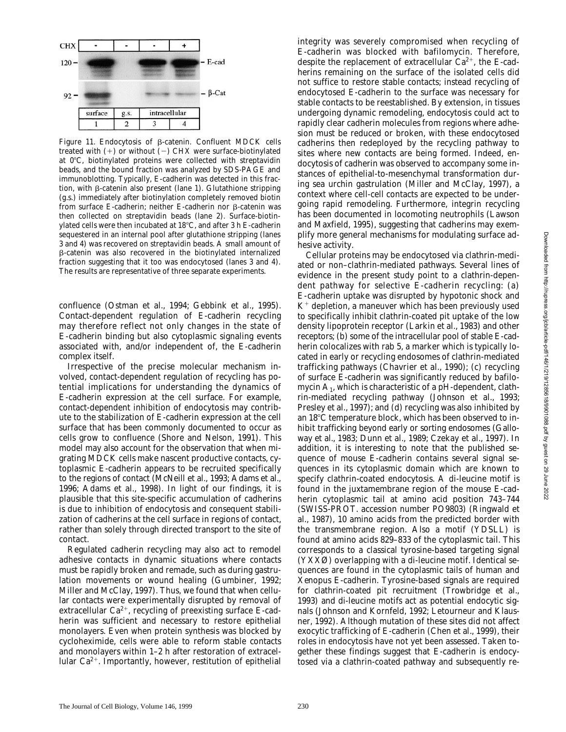

Figure 11. Endocytosis of β-catenin. Confluent MDCK cells treated with  $(+)$  or without  $(-)$  CHX were surface-biotinylated at  $0^{\circ}$ C, biotinylated proteins were collected with streptavidin beads, and the bound fraction was analyzed by SDS-PAGE and immunoblotting. Typically, E-cadherin was detected in this fraction, with  $\beta$ -catenin also present (lane 1). Glutathione stripping (g.s.) immediately after biotinylation completely removed biotin from surface E-cadherin; neither E-cadherin nor  $\beta$ -catenin was then collected on streptavidin beads (lane 2). Surface-biotinylated cells were then incubated at  $18^{\circ}$ C, and after 3 h E-cadherin sequestered in an internal pool after glutathione stripping (lanes 3 and 4) was recovered on streptavidin beads. A small amount of b-catenin was also recovered in the biotinylated internalized fraction suggesting that it too was endocytosed (lanes 3 and 4). The results are representative of three separate experiments.

confluence (Ostman et al., 1994; Gebbink et al., 1995). Contact-dependent regulation of E-cadherin recycling may therefore reflect not only changes in the state of E-cadherin binding but also cytoplasmic signaling events associated with, and/or independent of, the E-cadherin complex itself.

Irrespective of the precise molecular mechanism involved, contact-dependent regulation of recycling has potential implications for understanding the dynamics of E-cadherin expression at the cell surface. For example, contact-dependent inhibition of endocytosis may contribute to the stabilization of E-cadherin expression at the cell surface that has been commonly documented to occur as cells grow to confluence (Shore and Nelson, 1991). This model may also account for the observation that when migrating MDCK cells make nascent productive contacts, cytoplasmic E-cadherin appears to be recruited specifically to the regions of contact (McNeill et al., 1993; Adams et al., 1996; Adams et al., 1998). In light of our findings, it is plausible that this site-specific accumulation of cadherins is due to inhibition of endocytosis and consequent stabilization of cadherins at the cell surface in regions of contact, rather than solely through directed transport to the site of contact.

Regulated cadherin recycling may also act to remodel adhesive contacts in dynamic situations where contacts must be rapidly broken and remade, such as during gastrulation movements or wound healing (Gumbiner, 1992; Miller and McClay, 1997). Thus, we found that when cellular contacts were experimentally disrupted by removal of extracellular  $Ca^{2+}$ , recycling of preexisting surface E-cadherin was sufficient and necessary to restore epithelial monolayers. Even when protein synthesis was blocked by cycloheximide, cells were able to reform stable contacts and monolayers within 1–2 h after restoration of extracellular  $Ca^{2+}$ . Importantly, however, restitution of epithelial integrity was severely compromised when recycling of E-cadherin was blocked with bafilomycin. Therefore, despite the replacement of extracellular  $Ca^{2+}$ , the E-cadherins remaining on the surface of the isolated cells did not suffice to restore stable contacts; instead recycling of endocytosed E-cadherin to the surface was necessary for stable contacts to be reestablished. By extension, in tissues undergoing dynamic remodeling, endocytosis could act to rapidly clear cadherin molecules from regions where adhesion must be reduced or broken, with these endocytosed cadherins then redeployed by the recycling pathway to sites where new contacts are being formed. Indeed, endocytosis of cadherin was observed to accompany some instances of epithelial-to-mesenchymal transformation during sea urchin gastrulation (Miller and McClay, 1997), a context where cell-cell contacts are expected to be undergoing rapid remodeling. Furthermore, integrin recycling has been documented in locomoting neutrophils (Lawson and Maxfield, 1995), suggesting that cadherins may exemplify more general mechanisms for modulating surface adhesive activity.

Cellular proteins may be endocytosed via clathrin-mediated or non–clathrin-mediated pathways. Several lines of evidence in the present study point to a clathrin-dependent pathway for selective E-cadherin recycling: (a) E-cadherin uptake was disrupted by hypotonic shock and  $K^+$  depletion, a maneuver which has been previously used to specifically inhibit clathrin-coated pit uptake of the low density lipoprotein receptor (Larkin et al., 1983) and other receptors; (b) some of the intracellular pool of stable E-cadherin colocalizes with rab 5, a marker which is typically located in early or recycling endosomes of clathrin-mediated trafficking pathways (Chavrier et al., 1990); (c) recycling of surface E-cadherin was significantly reduced by bafilomycin  $A_1$ , which is characteristic of a pH-dependent, clathrin-mediated recycling pathway (Johnson et al., 1993; Presley et al., 1997); and (d) recycling was also inhibited by an 18°C temperature block, which has been observed to inhibit trafficking beyond early or sorting endosomes (Galloway et al., 1983; Dunn et al., 1989; Czekay et al., 1997). In addition, it is interesting to note that the published sequence of mouse E-cadherin contains several signal sequences in its cytoplasmic domain which are known to specify clathrin-coated endocytosis. A di-leucine motif is found in the juxtamembrane region of the mouse E-cadherin cytoplasmic tail at amino acid position 743–744 (SWISS-PROT. accession number PO9803) (Ringwald et al., 1987), 10 amino acids from the predicted border with the transmembrane region. Also a motif (YDSLL) is found at amino acids 829–833 of the cytoplasmic tail. This corresponds to a classical tyrosine-based targeting signal (YXXØ) overlapping with a di-leucine motif. Identical sequences are found in the cytoplasmic tails of human and *Xenopus* E-cadherin. Tyrosine-based signals are required for clathrin-coated pit recruitment (Trowbridge et al., 1993) and di-leucine motifs act as potential endocytic signals (Johnson and Kornfeld, 1992; Letourneur and Klausner, 1992). Although mutation of these sites did not affect exocytic trafficking of E-cadherin (Chen et al., 1999), their roles in endocytosis have not yet been assessed. Taken together these findings suggest that E-cadherin is endocytosed via a clathrin-coated pathway and subsequently re-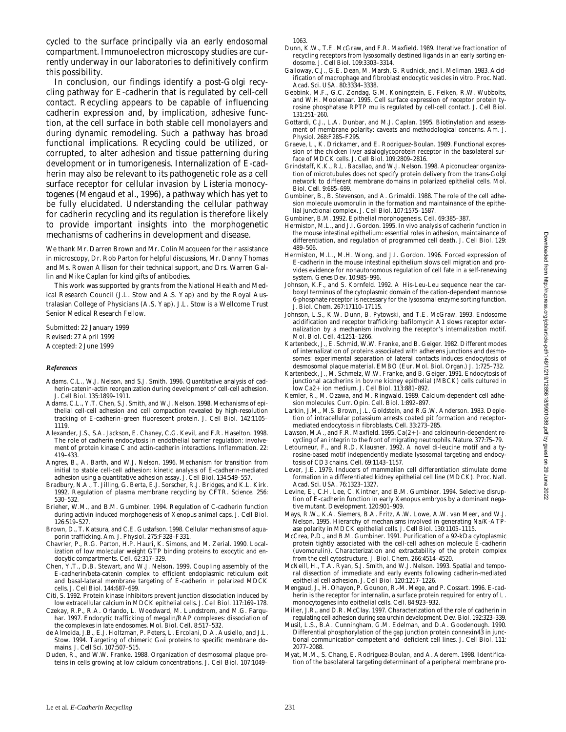cycled to the surface principally via an early endosomal compartment. Immunoelectron microscopy studies are currently underway in our laboratories to definitively confirm this possibility.

In conclusion, our findings identify a post-Golgi recycling pathway for E-cadherin that is regulated by cell-cell contact. Recycling appears to be capable of influencing cadherin expression and, by implication, adhesive function, at the cell surface in both stable cell monolayers and during dynamic remodeling. Such a pathway has broad functional implications. Recycling could be utilized, or corrupted, to alter adhesion and tissue patterning during development or in tumorigenesis. Internalization of E-cadherin may also be relevant to its pathogenetic role as a cell surface receptor for cellular invasion by *Listeria monocytogenes* (Mengaud et al., 1996), a pathway which has yet to be fully elucidated. Understanding the cellular pathway for cadherin recycling and its regulation is therefore likely to provide important insights into the morphogenetic mechanisms of cadherins in development and disease.

We thank Mr. Darren Brown and Mr. Colin Macqueen for their assistance in microscopy, Dr. Rob Parton for helpful discussions, Mr. Danny Thomas and Ms. Rowan Allison for their technical support, and Drs. Warren Gallin and Mike Caplan for kind gifts of antibodies.

This work was supported by grants from the National Health and Medical Research Council (J.L. Stow and A.S. Yap) and by the Royal Australasian College of Physicians (A.S. Yap). J.L. Stow is a Wellcome Trust Senior Medical Research Fellow.

Submitted: 22 January 1999 Revised: 27 April 1999 Accepted: 2 June 1999

#### *References*

- Adams, C.L., W.J. Nelson, and S.J. Smith. 1996. Quantitative analysis of cadherin-catenin-actin reorganization during development of cell-cell adhesion. *J. Cell Biol.* 135:1899–1911.
- Adams, C.L., Y.T. Chen, S.J. Smith, and W.J. Nelson. 1998. Mechanisms of epithelial cell-cell adhesion and cell compaction revealed by high-resolution tracking of E-cadherin–green fluorescent protein. *J. Cell Biol.* 142:1105– 1119.
- Alexander, J.S., S.A. Jackson, E. Chaney, C.G. Kevil, and F.R. Haselton. 1998. The role of cadherin endocytosis in endothelial barrier regulation: involvement of protein kinase C and actin-cadherin interactions. *Inflammation.* 22: 419–433.
- Angres, B., A. Barth, and W.J. Nelson. 1996. Mechanism for transition from initial to stable cell-cell adhesion: kinetic analysis of E-cadherin-mediated adhesion using a quantitative adhesion assay. *J. Cell Biol.* 134:549–557.
- Bradbury, N.A., T. Jilling, G. Berta, E.J. Sorscher, R.J. Bridges, and K.L. Kirk. 1992. Regulation of plasma membrane recycling by CFTR. *Science.* 256: 530–532.
- Brieher, W.M., and B.M. Gumbiner. 1994. Regulation of C-cadherin function during activin induced morphogenesis of *Xenopus* animal caps. *J. Cell Biol.* 126:519–527.
- Brown, D., T. Katsura, and C.E. Gustafson. 1998. Cellular mechanisms of aquaporin trafficking. *Am. J. Physiol.* 275:F328–F331.
- Chavrier, P., R.G. Parton, H.P. Hauri, K. Simons, and M. Zerial. 1990. Localization of low molecular weight GTP binding proteins to exocytic and endocytic compartments. *Cell.* 62:317–329.
- Chen, Y.T., D.B. Stewart, and W.J. Nelson. 1999. Coupling assembly of the E-cadherin/beta-catenin complex to efficient endoplasmic reticulum exit and basal-lateral membrane targeting of E-cadherin in polarized MDCK cells. *J. Cell Biol.* 144:687–699.
- Citi, S. 1992. Protein kinase inhibitors prevent junction dissociation induced by low extracellular calcium in MDCK epithelial cells. *J. Cell Biol.* 117:169–178.
- Czekay, R.P., R.A. Orlando, L. Woodward, M. Lundstrom, and M.G. Farquhar. 1997. Endocytic trafficking of megalin/RAP complexes: dissociation of the complexes in late endosomes. *Mol. Biol. Cell.* 8:517–532.
- de Almeida, J.B., E.J. Holtzman, P. Peters, L. Ercolani, D.A. Ausiello, and J.L. Stow. 1994. Targeting of chimeric Gai proteins to specific membrane domains. *J. Cell Sci.* 107:507–515.
- Duden, R., and W.W. Franke. 1988. Organization of desmosomal plaque proteins in cells growing at low calcium concentrations. *J. Cell Biol.* 107:1049–

1063.

- Dunn, K.W., T.E. McGraw, and F.R. Maxfield. 1989. Iterative fractionation of recycling receptors from lysosomally destined ligands in an early sorting endosome. *J. Cell Biol.* 109:3303–3314.
- Galloway, C.J., G.E. Dean, M. Marsh, G. Rudnick, and I. Mellman. 1983. Acidification of macrophage and fibroblast endocytic vesicles in vitro. *Proc. Natl. Acad. Sci. USA.* 80:3334–3338.
- Gebbink, M.F., G.C. Zondag, G.M. Koningstein, E. Feiken, R.W. Wubbolts, and W.H. Moolenaar. 1995. Cell surface expression of receptor protein tyrosine phosphatase RPTP mu is regulated by cell-cell contact. *J. Cell Biol.* 131:251–260.
- Gottardi, C.J., L.A. Dunbar, and M.J. Caplan. 1995. Biotinylation and assessment of membrane polarity: caveats and methodological concerns. *Am. J. Physiol.* 268:F285–F295.
- Graeve, L., K. Drickamer, and E. Rodriguez-Boulan. 1989. Functional expression of the chicken liver asialoglycoprotein receptor in the basolateral surface of MDCK cells. *J. Cell Biol.* 109:2809–2816.
- Grindstaff, K.K., R.L. Bacallao, and W.J. Nelson. 1998. Apiconuclear organization of microtubules does not specify protein delivery from the trans-Golgi network to different membrane domains in polarized epithelial cells. *Mol. Biol. Cell.* 9:685–699.
- Gumbiner, B., B. Stevenson, and A. Grimaldi. 1988. The role of the cell adhesion molecule uvomorulin in the formation and maintainance of the epithelial junctional complex. *J. Cell Biol.* 107:1575–1587.
- Gumbiner, B.M. 1992. Epithelial morphogenesis. *Cell.* 69:385–387.
- Hermiston, M.L., and J.I. Gordon. 1995. In vivo analysis of cadherin function in the mouse intestinal epithelium: essential roles in adhesion, maintainance of differentiation, and regulation of programmed cell death. *J. Cell Biol.* 129: 489–506.
- Hermiston, M.L., M.H. Wong, and J.I. Gordon. 1996. Forced expression of E-cadherin in the mouse intestinal epithelium slows cell migration and provides evidence for nonautonomous regulation of cell fate in a self-renewing system. *Genes Dev.* 10:985–996.
- Johnson, K.F., and S. Kornfeld. 1992. A His-Leu-Leu sequence near the carboxyl terminus of the cytoplasmic domain of the cation-dependent mannose 6-phosphate receptor is necessary for the lysosomal enzyme sorting function. *J. Biol. Chem.* 267:17110–17115.
- Johnson, L.S., K.W. Dunn, B. Pytowski, and T.E. McGraw. 1993. Endosome acidification and receptor trafficking: bafilomycin A1 slows receptor externalization by a mechanism involving the receptor's internalization motif. *Mol. Biol. Cell.* 4:1251–1266.
- Kartenbeck, J., E. Schmid, W.W. Franke, and B. Geiger. 1982. Different modes of internalization of proteins associated with adherens junctions and desmosomes: experimental separation of lateral contacts induces endocytosis of desmosomal plaque material. *EMBO (Eur. Mol. Biol. Organ.) J.* 1:725–732.
- Kartenbeck, J., M. Schmelz, W.W. Franke, and B. Geiger. 1991. Endocytosis of junctional acadherins in bovine kidney epithelial (MBCK) cells cultured in low Ca2+ ion medium. *J. Cell Biol.* 113:881-892.
- Kemler, R., M. Ozawa, and M. Ringwald. 1989. Calcium-dependent cell adhesion molecules. *Curr. Opin. Cell. Biol.* 1:892–897.
- Larkin, J.M., M.S. Brown, J.L. Goldstein, and R.G.W. Anderson. 1983. Depletion of intracellular potassium arrests coated pit formation and receptormediated endocytosis in fibroblasts. *Cell.* 33:273–285.
- Lawson, M.A., and F.R. Maxfield. 1995.  $Ca(2+)$  and calcineurin-dependent recycling of an integrin to the front of migrating neutrophils. *Nature.* 377:75–79.
- Letourneur, F., and R.D. Klausner. 1992. A novel di-leucine motif and a tyrosine-based motif independently mediate lysosomal targeting and endocytosis of CD3 chains. *Cell.* 69:1143–1157.
- Lever, J.E. 1979. Inducers of mammalian cell differentiation stimulate dome formation in a differentiated kidney epithelial cell line (MDCK). *Proc. Natl. Acad. Sci. USA.* 76:1323–1327.
- Levine, E., C.H. Lee, C. Kintner, and B.M. Gumbiner. 1994. Selective disruption of E-cadherin function in early *Xenopus* embryos by a dominant negative mutant. *Development.* 120:901–909.
- Mays, R.W., K.A. Siemers, B.A. Fritz, A.W. Lowe, A.W. van Meer, and W.J. Nelson. 1995. Hierarchy of mechanisms involved in generating Na/K-ATPase polarity in MDCK epithelial cells. *J. Cell Biol.* 130:1105–1115.
- McCrea, P.D., and B.M. Gumbiner. 1991. Purification of a 92-kDa cytoplasmic protein tightly associated with the cell-cell adhesion molecule E-cadherin (uvomorulin). Characterization and extractability of the protein complex from the cell cytostructure. *J. Biol. Chem.* 266:4514–4520.
- McNeill, H., T.A. Ryan, S.J. Smith, and W.J. Nelson. 1993. Spatial and temporal dissection of immediate and early events following cadherin-mediated epithelial cell adhesion. *J. Cell Biol.* 120:1217–1226.
- Mengaud, J., H. Ohayon, P. Gounon, R.-M. Mege, and P. Cossart. 1996. E-cadherin is the receptor for internalin, a surface protein required for entry of *L. monocytogenes* into epithelial cells. *Cell.* 84:923–932.
- Miller, J.R., and D.R. McClay. 1997. Characterization of the role of cadherin in regulating cell adhesion during sea urchin development. *Dev. Biol.* 192:323–339.
- Musil, L.S., B.A. Cunningham, G.M. Edelman, and D.A. Goodenough. 1990. Differential phosphorylation of the gap junction protein connexin43 in junctional communication-competent and -deficient cell lines. *J. Cell Biol.* 111: 2077–2088.
- Myat, M.M., S. Chang, E. Rodriguez-Boulan, and A. Aderem. 1998. Identification of the basolateral targeting determinant of a peripheral membrane pro-